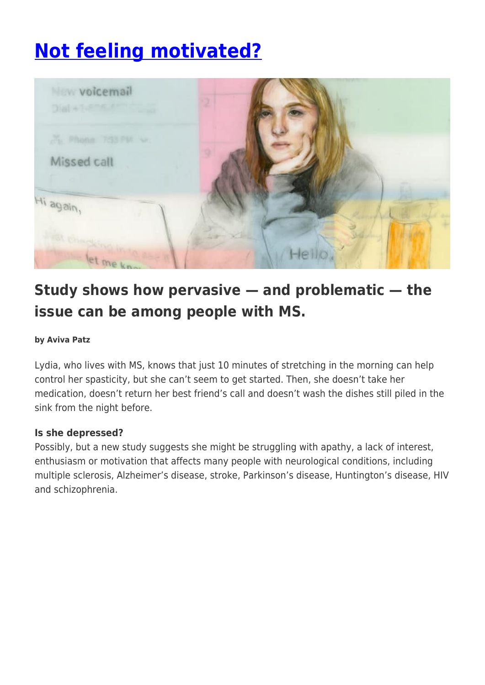# **[Not feeling motivated?](https://momentummagazineonline.com/not-feeling-motivated/)**



# **Study shows how pervasive — and problematic — the issue can be among people with MS.**

#### **by Aviva Patz**

Lydia, who lives with MS, knows that just 10 minutes of stretching in the morning can help control her spasticity, but she can't seem to get started. Then, she doesn't take her medication, doesn't return her best friend's call and doesn't wash the dishes still piled in the sink from the night before.

#### **Is she depressed?**

Possibly, but a new study suggests she might be struggling with apathy, a lack of interest, enthusiasm or motivation that affects many people with neurological conditions, including multiple sclerosis, Alzheimer's disease, stroke, Parkinson's disease, Huntington's disease, HIV and schizophrenia.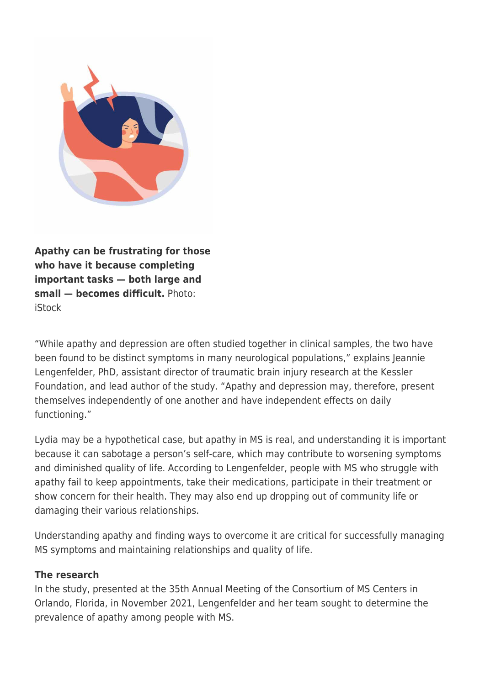

**Apathy can be frustrating for those who have it because completing important tasks — both large and small — becomes difficult.** Photo: iStock

"While apathy and depression are often studied together in clinical samples, the two have been found to be distinct symptoms in many neurological populations," explains Jeannie Lengenfelder, PhD, assistant director of traumatic brain injury research at the Kessler Foundation, and lead author of the study. "Apathy and depression may, therefore, present themselves independently of one another and have independent effects on daily functioning."

Lydia may be a hypothetical case, but apathy in MS is real, and understanding it is important because it can sabotage a person's self-care, which may contribute to worsening symptoms and diminished quality of life. According to Lengenfelder, people with MS who struggle with apathy fail to keep appointments, take their medications, participate in their treatment or show concern for their health. They may also end up dropping out of community life or damaging their various relationships.

Understanding apathy and finding ways to overcome it are critical for successfully managing MS symptoms and maintaining relationships and quality of life.

### **The research**

In the study, presented at the 35th Annual Meeting of the Consortium of MS Centers in Orlando, Florida, in November 2021, Lengenfelder and her team sought to determine the prevalence of apathy among people with MS.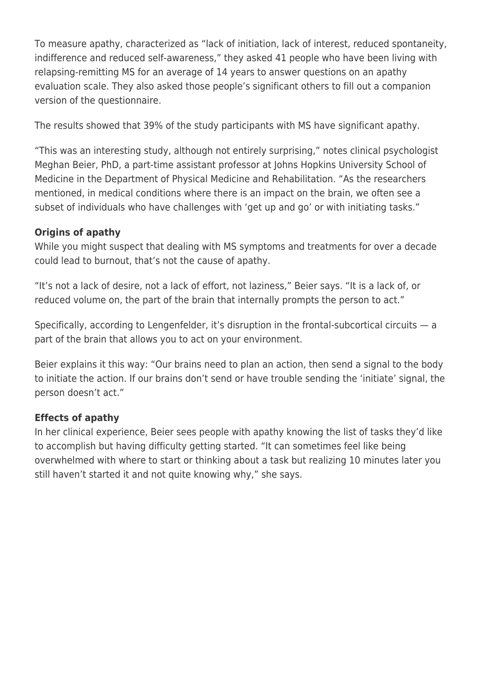To measure apathy, characterized as "lack of initiation, lack of interest, reduced spontaneity, indifference and reduced self-awareness," they asked 41 people who have been living with relapsing-remitting MS for an average of 14 years to answer questions on an apathy evaluation scale. They also asked those people's significant others to fill out a companion version of the questionnaire.

The results showed that 39% of the study participants with MS have significant apathy.

"This was an interesting study, although not entirely surprising," notes clinical psychologist Meghan Beier, PhD, a part-time assistant professor at Johns Hopkins University School of Medicine in the Department of Physical Medicine and Rehabilitation. "As the researchers mentioned, in medical conditions where there is an impact on the brain, we often see a subset of individuals who have challenges with 'get up and go' or with initiating tasks."

# **Origins of apathy**

While you might suspect that dealing with MS symptoms and treatments for over a decade could lead to burnout, that's not the cause of apathy.

"It's not a lack of desire, not a lack of effort, not laziness," Beier says. "It is a lack of, or reduced volume on, the part of the brain that internally prompts the person to act."

Specifically, according to Lengenfelder, it's disruption in the frontal-subcortical circuits — a part of the brain that allows you to act on your environment.

Beier explains it this way: "Our brains need to plan an action, then send a signal to the body to initiate the action. If our brains don't send or have trouble sending the 'initiate' signal, the person doesn't act."

# **Effects of apathy**

In her clinical experience, Beier sees people with apathy knowing the list of tasks they'd like to accomplish but having difficulty getting started. "It can sometimes feel like being overwhelmed with where to start or thinking about a task but realizing 10 minutes later you still haven't started it and not quite knowing why," she says.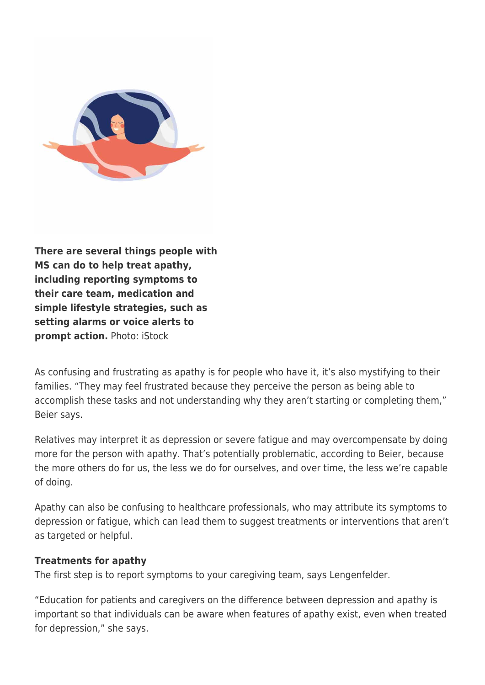

**There are several things people with MS can do to help treat apathy, including reporting symptoms to their care team, medication and simple lifestyle strategies, such as setting alarms or voice alerts to prompt action.** Photo: iStock

As confusing and frustrating as apathy is for people who have it, it's also mystifying to their families. "They may feel frustrated because they perceive the person as being able to accomplish these tasks and not understanding why they aren't starting or completing them," Beier says.

Relatives may interpret it as depression or severe fatigue and may overcompensate by doing more for the person with apathy. That's potentially problematic, according to Beier, because the more others do for us, the less we do for ourselves, and over time, the less we're capable of doing.

Apathy can also be confusing to healthcare professionals, who may attribute its symptoms to depression or fatigue, which can lead them to suggest treatments or interventions that aren't as targeted or helpful.

#### **Treatments for apathy**

The first step is to report symptoms to your caregiving team, says Lengenfelder.

"Education for patients and caregivers on the difference between depression and apathy is important so that individuals can be aware when features of apathy exist, even when treated for depression," she says.